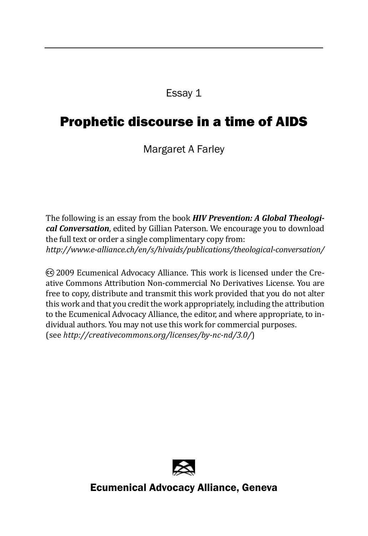Essay 1

# Prophetic discourse in a time of AIDS

Margaret A Farley

The following is an essay from the book *HIV Prevention: A Global Theological Conversation*, edited by Gillian Paterson. We encourage you to download the full text or order a single complimentary copy from: *http://www.e-alliance.ch/en/s/hivaids/publications/theological-conversation/*

cc) 2009 Ecumenical Advocacy Alliance. This work is licensed under the Creative Commons Attribution Non-commercial No Derivatives License. You are free to copy, distribute and transmit this work provided that you do not alter this work and that you credit the work appropriately, including the attribution to the Ecumenical Advocacy Alliance, the editor, and where appropriate, to individual authors. You may not use this work for commercial purposes. (see *http://creativecommons.org/licenses/by-nc-nd/3.0/*)



## Ecumenical Advocacy Alliance, Geneva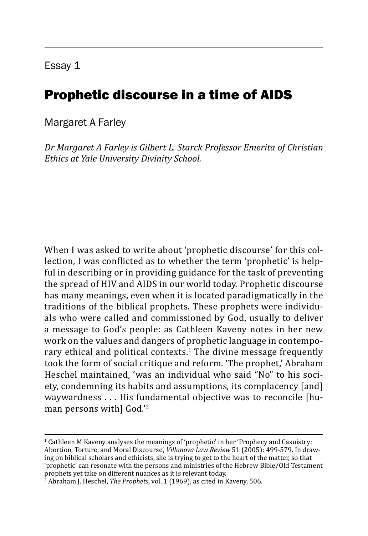Essay 1

# Prophetic discourse in a time of AIDS

Margaret A Farley

*Dr Margaret A Farley is Gilbert L. Starck Professor Emerita of Christian Ethics at Yale University Divinity School.*

When I was asked to write about 'prophetic discourse' for this collection, I was conflicted as to whether the term 'prophetic' is helpful in describing or in providing guidance for the task of preventing the spread of HIV and AIDS in our world today. Prophetic discourse has many meanings, even when it is located paradigmatically in the traditions of the biblical prophets. These prophets were individuals who were called and commissioned by God, usually to deliver a message to God's people: as Cathleen Kaveny notes in her new work on the values and dangers of prophetic language in contemporary ethical and political contexts.<sup>1</sup> The divine message frequently took the form of social critique and reform. 'The prophet,' Abraham Heschel maintained, 'was an individual who said "No" to his society, condemning its habits and assumptions, its complacency [and] waywardness . . . His fundamental objective was to reconcile [human persons with] God.<sup>'2</sup>

<sup>1</sup> Cathleen M Kaveny analyses the meanings of 'prophetic' in her 'Prophecy and Casuistry: Abortion, Torture, and Moral Discourse', *Villanova Law Review* 51 (2005): 499-579. In drawing on biblical scholars and ethicists, she is trying to get to the heart of the matter, so that 'prophetic' can resonate with the persons and ministries of the Hebrew Bible/Old Testament prophets yet take on different nuances as it is relevant today.

<sup>2</sup> Abraham J. Heschel, *The Prophets*, vol. 1 (1969), as cited in Kaveny, 506.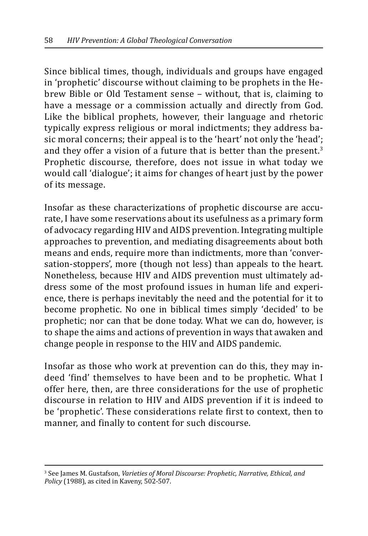Since biblical times, though, individuals and groups have engaged in 'prophetic' discourse without claiming to be prophets in the Hebrew Bible or Old Testament sense – without, that is, claiming to have a message or a commission actually and directly from God. Like the biblical prophets, however, their language and rhetoric typically express religious or moral indictments; they address basic moral concerns; their appeal is to the 'heart' not only the 'head'; and they offer a vision of a future that is better than the present.<sup>3</sup> Prophetic discourse, therefore, does not issue in what today we would call 'dialogue'; it aims for changes of heart just by the power of its message.

Insofar as these characterizations of prophetic discourse are accurate, I have some reservations about its usefulness as a primary form of advocacy regarding HIV and AIDS prevention. Integrating multiple approaches to prevention, and mediating disagreements about both means and ends, require more than indictments, more than 'conversation-stoppers', more (though not less) than appeals to the heart. Nonetheless, because HIV and AIDS prevention must ultimately address some of the most profound issues in human life and experience, there is perhaps inevitably the need and the potential for it to become prophetic. No one in biblical times simply 'decided' to be prophetic; nor can that be done today. What we can do, however, is to shape the aims and actions of prevention in ways that awaken and change people in response to the HIV and AIDS pandemic.

Insofar as those who work at prevention can do this, they may indeed 'find' themselves to have been and to be prophetic. What I offer here, then, are three considerations for the use of prophetic discourse in relation to HIV and AIDS prevention if it is indeed to be 'prophetic'. These considerations relate first to context, then to manner, and finally to content for such discourse.

<sup>3</sup> See James M. Gustafson, *Varieties of Moral Discourse: Prophetic, Narrative, Ethical, and Policy* (1988), as cited in Kaveny, 502-507.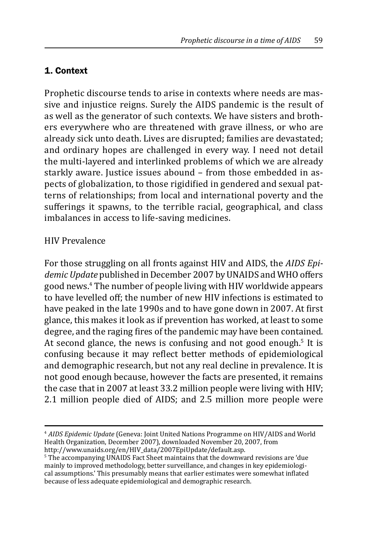#### 1. Context

Prophetic discourse tends to arise in contexts where needs are massive and injustice reigns. Surely the AIDS pandemic is the result of as well as the generator of such contexts. We have sisters and brothers everywhere who are threatened with grave illness, or who are already sick unto death. Lives are disrupted; families are devastated; and ordinary hopes are challenged in every way. I need not detail the multi-layered and interlinked problems of which we are already starkly aware. Justice issues abound – from those embedded in aspects of globalization, to those rigidified in gendered and sexual patterns of relationships; from local and international poverty and the sufferings it spawns, to the terrible racial, geographical, and class imbalances in access to life-saving medicines.

#### HIV Prevalence

For those struggling on all fronts against HIV and AIDS, the *AIDS Epidemic Update* published in December 2007 by UNAIDS and WHO offers good news.4 The number of people living with HIV worldwide appears to have levelled off; the number of new HIV infections is estimated to have peaked in the late 1990s and to have gone down in 2007. At first glance, this makes it look as if prevention has worked, at least to some degree, and the raging fires of the pandemic may have been contained. At second glance, the news is confusing and not good enough.<sup>5</sup> It is confusing because it may reflect better methods of epidemiological and demographic research, but not any real decline in prevalence. It is not good enough because, however the facts are presented, it remains the case that in 2007 at least 33.2 million people were living with HIV; 2.1 million people died of AIDS; and 2.5 million more people were

<sup>4</sup> *AIDS Epidemic Update* (Geneva: Joint United Nations Programme on HIV/AIDS and World Health Organization, December 2007), downloaded November 20, 2007, from http://www.unaids.org/en/HIV\_data/2007EpiUpdate/default.asp.

<sup>5</sup> The accompanying UNAIDS Fact Sheet maintains that the downward revisions are 'due mainly to improved methodology, better surveillance, and changes in key epidemiological assumptions.' This presumably means that earlier estimates were somewhat inflated because of less adequate epidemiological and demographic research.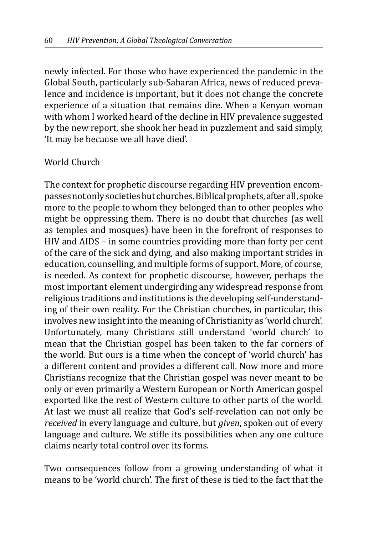newly infected. For those who have experienced the pandemic in the Global South, particularly sub-Saharan Africa, news of reduced prevalence and incidence is important, but it does not change the concrete experience of a situation that remains dire. When a Kenyan woman with whom I worked heard of the decline in HIV prevalence suggested by the new report, she shook her head in puzzlement and said simply, 'It may be because we all have died'.

### World Church

The context for prophetic discourse regarding HIV prevention encompasses not only societies but churches. Biblical prophets, after all, spoke more to the people to whom they belonged than to other peoples who might be oppressing them. There is no doubt that churches (as well as temples and mosques) have been in the forefront of responses to HIV and AIDS – in some countries providing more than forty per cent of the care of the sick and dying, and also making important strides in education, counselling, and multiple forms of support. More, of course, is needed. As context for prophetic discourse, however, perhaps the most important element undergirding any widespread response from religious traditions and institutions is the developing self-understanding of their own reality. For the Christian churches, in particular, this involves new insight into the meaning of Christianity as 'world church'. Unfortunately, many Christians still understand 'world church' to mean that the Christian gospel has been taken to the far corners of the world. But ours is a time when the concept of 'world church' has a different content and provides a different call. Now more and more Christians recognize that the Christian gospel was never meant to be only or even primarily a Western European or North American gospel exported like the rest of Western culture to other parts of the world. At last we must all realize that God's self-revelation can not only be *received* in every language and culture, but *given*, spoken out of every language and culture. We stifle its possibilities when any one culture claims nearly total control over its forms.

Two consequences follow from a growing understanding of what it means to be 'world church'. The first of these is tied to the fact that the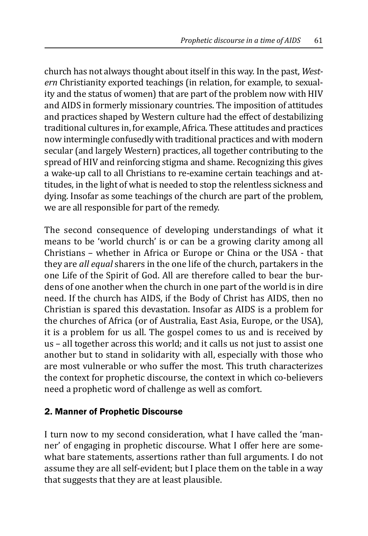church has not always thought about itself in this way. In the past, *Western* Christianity exported teachings (in relation, for example, to sexuality and the status of women) that are part of the problem now with HIV and AIDS in formerly missionary countries. The imposition of attitudes and practices shaped by Western culture had the effect of destabilizing traditional cultures in, for example, Africa. These attitudes and practices now intermingle confusedly with traditional practices and with modern secular (and largely Western) practices, all together contributing to the spread of HIV and reinforcing stigma and shame. Recognizing this gives a wake-up call to all Christians to re-examine certain teachings and attitudes, in the light of what is needed to stop the relentless sickness and dying. Insofar as some teachings of the church are part of the problem, we are all responsible for part of the remedy.

The second consequence of developing understandings of what it means to be 'world church' is or can be a growing clarity among all Christians – whether in Africa or Europe or China or the USA - that they are *all equal* sharers in the one life of the church, partakers in the one Life of the Spirit of God. All are therefore called to bear the burdens of one another when the church in one part of the world is in dire need. If the church has AIDS, if the Body of Christ has AIDS, then no Christian is spared this devastation. Insofar as AIDS is a problem for the churches of Africa (or of Australia, East Asia, Europe, or the USA), it is a problem for us all. The gospel comes to us and is received by us – all together across this world; and it calls us not just to assist one another but to stand in solidarity with all, especially with those who are most vulnerable or who suffer the most. This truth characterizes the context for prophetic discourse, the context in which co-believers need a prophetic word of challenge as well as comfort.

#### 2. Manner of Prophetic Discourse

I turn now to my second consideration, what I have called the 'manner' of engaging in prophetic discourse. What I offer here are somewhat bare statements, assertions rather than full arguments. I do not assume they are all self-evident; but I place them on the table in a way that suggests that they are at least plausible.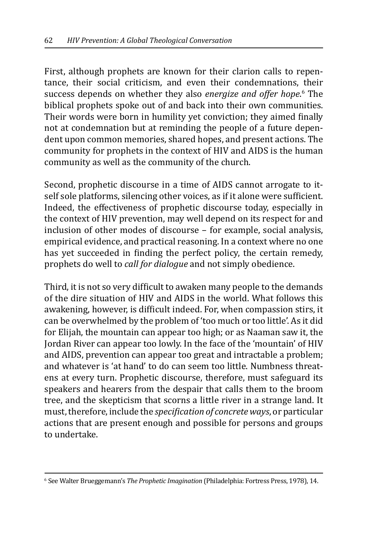First, although prophets are known for their clarion calls to repentance, their social criticism, and even their condemnations, their success depends on whether they also *energize and offer hope*. 6 The biblical prophets spoke out of and back into their own communities. Their words were born in humility yet conviction; they aimed finally not at condemnation but at reminding the people of a future dependent upon common memories, shared hopes, and present actions. The community for prophets in the context of HIV and AIDS is the human community as well as the community of the church.

Second, prophetic discourse in a time of AIDS cannot arrogate to itself sole platforms, silencing other voices, as if it alone were sufficient. Indeed, the effectiveness of prophetic discourse today, especially in the context of HIV prevention, may well depend on its respect for and inclusion of other modes of discourse – for example, social analysis, empirical evidence, and practical reasoning. In a context where no one has yet succeeded in finding the perfect policy, the certain remedy, prophets do well to *call for dialogue* and not simply obedience.

Third, it is not so very difficult to awaken many people to the demands of the dire situation of HIV and AIDS in the world. What follows this awakening, however, is difficult indeed. For, when compassion stirs, it can be overwhelmed by the problem of 'too much or too little'. As it did for Elijah, the mountain can appear too high; or as Naaman saw it, the Jordan River can appear too lowly. In the face of the 'mountain' of HIV and AIDS, prevention can appear too great and intractable a problem; and whatever is 'at hand' to do can seem too little. Numbness threatens at every turn. Prophetic discourse, therefore, must safeguard its speakers and hearers from the despair that calls them to the broom tree, and the skepticism that scorns a little river in a strange land. It must, therefore, include the *specification of concrete ways*, or particular actions that are present enough and possible for persons and groups to undertake.

<sup>6</sup> See Walter Brueggemann's *The Prophetic Imagination* (Philadelphia: Fortress Press, 1978), 14.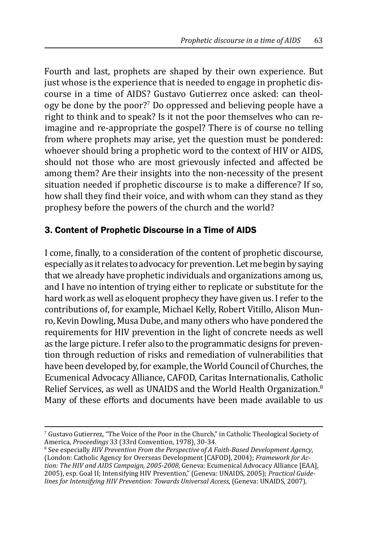Fourth and last, prophets are shaped by their own experience. But just whose is the experience that is needed to engage in prophetic discourse in a time of AIDS? Gustavo Gutierrez once asked: can theology be done by the poor?' Do oppressed and believing people have a right to think and to speak? Is it not the poor themselves who can reimagine and re-appropriate the gospel? There is of course no telling from where prophets may arise, yet the question must be pondered: whoever should bring a prophetic word to the context of HIV or AIDS. should not those who are most grievously infected and affected be among them? Are their insights into the non-necessity of the present situation needed if prophetic discourse is to make a difference? If so, how shall they find their voice, and with whom can they stand as they prophesy before the powers of the church and the world?

### 3. Content of Prophetic Discourse in a Time of AIDS

I come, finally, to a consideration of the content of prophetic discourse, especially as it relates to advocacy for prevention. Let me begin by saying that we already have prophetic individuals and organizations among us, and I have no intention of trying either to replicate or substitute for the hard work as well as eloquent prophecy they have given us. I refer to the contributions of, for example, Michael Kelly, Robert Vitillo, Alison Munro, Kevin Dowling, Musa Dube, and many others who have pondered the requirements for HIV prevention in the light of concrete needs as well as the large picture. I refer also to the programmatic designs for prevention through reduction of risks and remediation of vulnerabilities that have been developed by, for example, the World Council of Churches, the Ecumenical Advocacy Alliance, CAFOD, Caritas Internationalis, Catholic Relief Services, as well as UNAIDS and the World Health Organization.8 Many of these efforts and documents have been made available to us

 $^\prime$  Gustavo Gutierrez, "The Voice of the Poor in the Church," in Catholic Theological Society of America, *Proceedings* 33 (33rd Convention, 1978), 30-34.

<sup>8</sup> See especially *HIV Prevention From the Perspective of A Faith-Based Development Agency*, (London: Catholic Agency for Overseas Development [CAFOD], 2004); *Framework for Action: The HIV and AIDS Campaign, 2005-2008*, Geneva: Ecumenical Advocacy Alliance [EAA], 2005), esp. Goal II; Intensifying HIV Prevention," (Geneva: UNAIDS, 2005); *Practical Guidelines for Intensifying HIV Prevention: Towards Universal Access*, (Geneva: UNAIDS, 2007).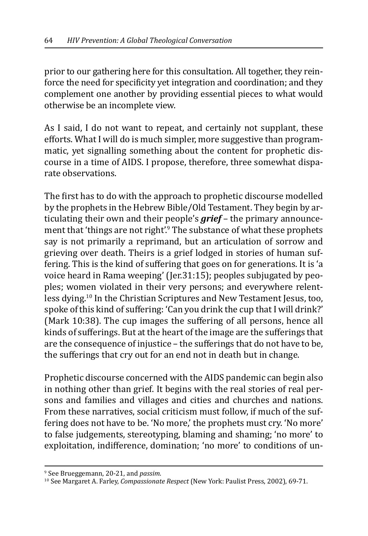prior to our gathering here for this consultation. All together, they reinforce the need for specificity yet integration and coordination; and they complement one another by providing essential pieces to what would otherwise be an incomplete view.

As I said, I do not want to repeat, and certainly not supplant, these efforts. What I will do is much simpler, more suggestive than programmatic, yet signalling something about the content for prophetic discourse in a time of AIDS. I propose, therefore, three somewhat disparate observations.

The first has to do with the approach to prophetic discourse modelled by the prophets in the Hebrew Bible/Old Testament. They begin by articulating their own and their people's *grief* – the primary announcement that 'things are not right'.<sup>9</sup> The substance of what these prophets say is not primarily a reprimand, but an articulation of sorrow and grieving over death. Theirs is a grief lodged in stories of human suffering. This is the kind of suffering that goes on for generations. It is 'a voice heard in Rama weeping' (Jer.31:15); peoples subjugated by peoples; women violated in their very persons; and everywhere relentless dying.10 In the Christian Scriptures and New Testament Jesus, too, spoke of this kind of suffering: 'Can you drink the cup that I will drink?' (Mark 10:38). The cup images the suffering of all persons, hence all kinds of sufferings. But at the heart of the image are the sufferings that are the consequence of injustice – the sufferings that do not have to be, the sufferings that cry out for an end not in death but in change.

Prophetic discourse concerned with the AIDS pandemic can begin also in nothing other than grief. It begins with the real stories of real persons and families and villages and cities and churches and nations. From these narratives, social criticism must follow, if much of the suffering does not have to be. 'No more,' the prophets must cry. 'No more' to false judgements, stereotyping, blaming and shaming; 'no more' to exploitation, indifference, domination; 'no more' to conditions of un-

<sup>9</sup> See Brueggemann, 20-21, and *passim*.

<sup>10</sup> See Margaret A. Farley, *Compassionate Respect* (New York: Paulist Press, 2002), 69-71.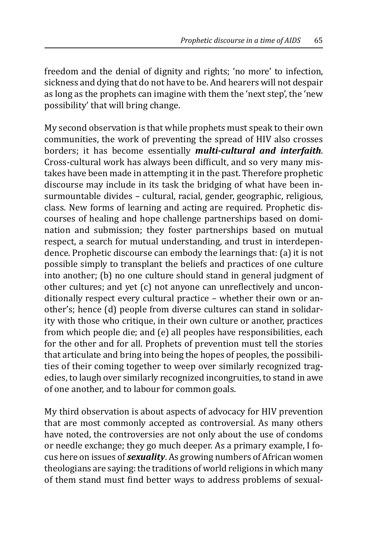freedom and the denial of dignity and rights; 'no more' to infection, sickness and dying that do not have to be. And hearers will not despair as long as the prophets can imagine with them the 'next step', the 'new possibility' that will bring change.

My second observation is that while prophets must speak to their own communities, the work of preventing the spread of HIV also crosses borders; it has become essentially *multi-cultural and interfaith*. Cross-cultural work has always been difficult, and so very many mistakes have been made in attempting it in the past. Therefore prophetic discourse may include in its task the bridging of what have been insurmountable divides – cultural, racial, gender, geographic, religious, class. New forms of learning and acting are required. Prophetic discourses of healing and hope challenge partnerships based on domination and submission; they foster partnerships based on mutual respect, a search for mutual understanding, and trust in interdependence. Prophetic discourse can embody the learnings that: (a) it is not possible simply to transplant the beliefs and practices of one culture into another; (b) no one culture should stand in general judgment of other cultures; and yet (c) not anyone can unreflectively and unconditionally respect every cultural practice – whether their own or another's; hence (d) people from diverse cultures can stand in solidarity with those who critique, in their own culture or another, practices from which people die; and (e) all peoples have responsibilities, each for the other and for all. Prophets of prevention must tell the stories that articulate and bring into being the hopes of peoples, the possibilities of their coming together to weep over similarly recognized tragedies, to laugh over similarly recognized incongruities, to stand in awe of one another, and to labour for common goals.

My third observation is about aspects of advocacy for HIV prevention that are most commonly accepted as controversial. As many others have noted, the controversies are not only about the use of condoms or needle exchange; they go much deeper. As a primary example, I focus here on issues of *sexuality*. As growing numbers of African women theologians are saying: the traditions of world religions in which many of them stand must find better ways to address problems of sexual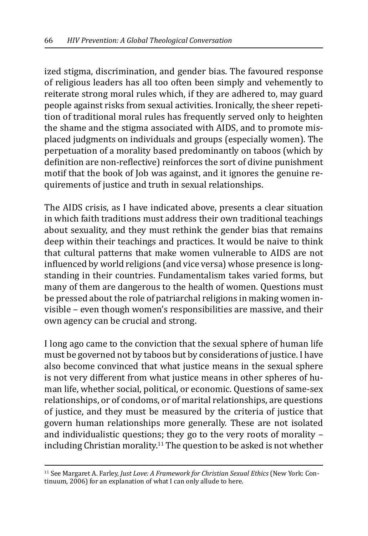ized stigma, discrimination, and gender bias. The favoured response of religious leaders has all too often been simply and vehemently to reiterate strong moral rules which, if they are adhered to, may guard people against risks from sexual activities. Ironically, the sheer repetition of traditional moral rules has frequently served only to heighten the shame and the stigma associated with AIDS, and to promote misplaced judgments on individuals and groups (especially women). The perpetuation of a morality based predominantly on taboos (which by definition are non-reflective) reinforces the sort of divine punishment motif that the book of Job was against, and it ignores the genuine requirements of justice and truth in sexual relationships.

The AIDS crisis, as I have indicated above, presents a clear situation in which faith traditions must address their own traditional teachings about sexuality, and they must rethink the gender bias that remains deep within their teachings and practices. It would be naive to think that cultural patterns that make women vulnerable to AIDS are not influenced by world religions (and vice versa) whose presence is longstanding in their countries. Fundamentalism takes varied forms, but many of them are dangerous to the health of women. Questions must be pressed about the role of patriarchal religions in making women invisible – even though women's responsibilities are massive, and their own agency can be crucial and strong.

I long ago came to the conviction that the sexual sphere of human life must be governed not by taboos but by considerations of justice. I have also become convinced that what justice means in the sexual sphere is not very different from what justice means in other spheres of human life, whether social, political, or economic. Questions of same-sex relationships, or of condoms, or of marital relationships, are questions of justice, and they must be measured by the criteria of justice that govern human relationships more generally. These are not isolated and individualistic questions; they go to the very roots of morality – including Christian morality.<sup>11</sup> The question to be asked is not whether

<sup>11</sup> See Margaret A. Farley, *Just Love: A Framework for Christian Sexual Ethics* (New York: Continuum, 2006) for an explanation of what I can only allude to here.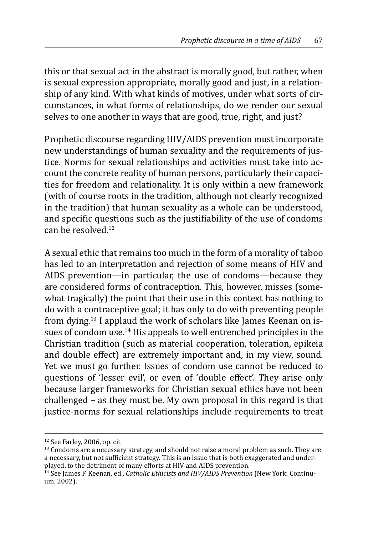this or that sexual act in the abstract is morally good, but rather, when is sexual expression appropriate, morally good and just, in a relationship of any kind. With what kinds of motives, under what sorts of circumstances, in what forms of relationships, do we render our sexual selves to one another in ways that are good, true, right, and just?

Prophetic discourse regarding HIV/AIDS prevention must incorporate new understandings of human sexuality and the requirements of justice. Norms for sexual relationships and activities must take into account the concrete reality of human persons, particularly their capacities for freedom and relationality. It is only within a new framework (with of course roots in the tradition, although not clearly recognized in the tradition) that human sexuality as a whole can be understood, and specific questions such as the justifiability of the use of condoms can be resolved.12

A sexual ethic that remains too much in the form of a morality of taboo has led to an interpretation and rejection of some means of HIV and AIDS prevention—in particular, the use of condoms—because they are considered forms of contraception. This, however, misses (somewhat tragically) the point that their use in this context has nothing to do with a contraceptive goal; it has only to do with preventing people from dying.13 I applaud the work of scholars like James Keenan on issues of condom use.14 His appeals to well entrenched principles in the Christian tradition (such as material cooperation, toleration, epikeia and double effect) are extremely important and, in my view, sound. Yet we must go further. Issues of condom use cannot be reduced to questions of 'lesser evil', or even of 'double effect'. They arise only because larger frameworks for Christian sexual ethics have not been challenged – as they must be. My own proposal in this regard is that justice-norms for sexual relationships include requirements to treat

<sup>&</sup>lt;sup>12</sup> See Farley, 2006, op. cit

 $13$  Condoms are a necessary strategy, and should not raise a moral problem as such. They are a necessary, but not sufficient strategy. This is an issue that is both exaggerated and underplayed, to the detriment of many efforts at HIV and AIDS prevention.

<sup>14</sup> See James F. Keenan, ed., *Catholic Ethicists and HIV/AIDS Prevention* (New York: Continuum, 2002).